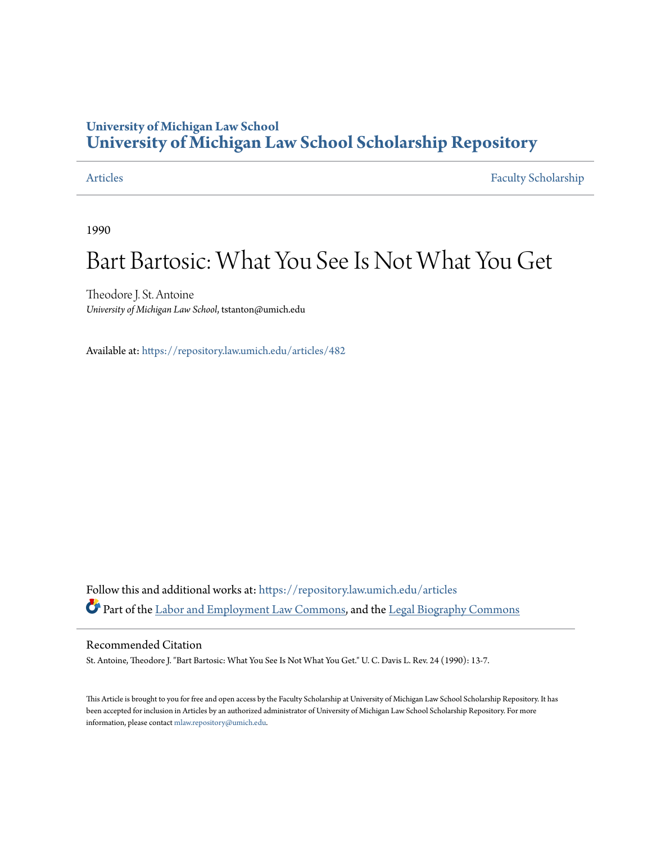## **University of Michigan Law School [University of Michigan Law School Scholarship Repository](https://repository.law.umich.edu?utm_source=repository.law.umich.edu%2Farticles%2F482&utm_medium=PDF&utm_campaign=PDFCoverPages)**

[Articles](https://repository.law.umich.edu/articles?utm_source=repository.law.umich.edu%2Farticles%2F482&utm_medium=PDF&utm_campaign=PDFCoverPages) [Faculty Scholarship](https://repository.law.umich.edu/faculty_scholarship?utm_source=repository.law.umich.edu%2Farticles%2F482&utm_medium=PDF&utm_campaign=PDFCoverPages)

1990

# Bart Bartosic: What You See Is Not What You Get

Theodore J. St. Antoine *University of Michigan Law School*, tstanton@umich.edu

Available at: <https://repository.law.umich.edu/articles/482>

Follow this and additional works at: [https://repository.law.umich.edu/articles](https://repository.law.umich.edu/articles?utm_source=repository.law.umich.edu%2Farticles%2F482&utm_medium=PDF&utm_campaign=PDFCoverPages) Part of the [Labor and Employment Law Commons,](http://network.bepress.com/hgg/discipline/909?utm_source=repository.law.umich.edu%2Farticles%2F482&utm_medium=PDF&utm_campaign=PDFCoverPages) and the [Legal Biography Commons](http://network.bepress.com/hgg/discipline/834?utm_source=repository.law.umich.edu%2Farticles%2F482&utm_medium=PDF&utm_campaign=PDFCoverPages)

#### Recommended Citation

St. Antoine, Theodore J. "Bart Bartosic: What You See Is Not What You Get." U. C. Davis L. Rev. 24 (1990): 13-7.

This Article is brought to you for free and open access by the Faculty Scholarship at University of Michigan Law School Scholarship Repository. It has been accepted for inclusion in Articles by an authorized administrator of University of Michigan Law School Scholarship Repository. For more information, please contact [mlaw.repository@umich.edu.](mailto:mlaw.repository@umich.edu)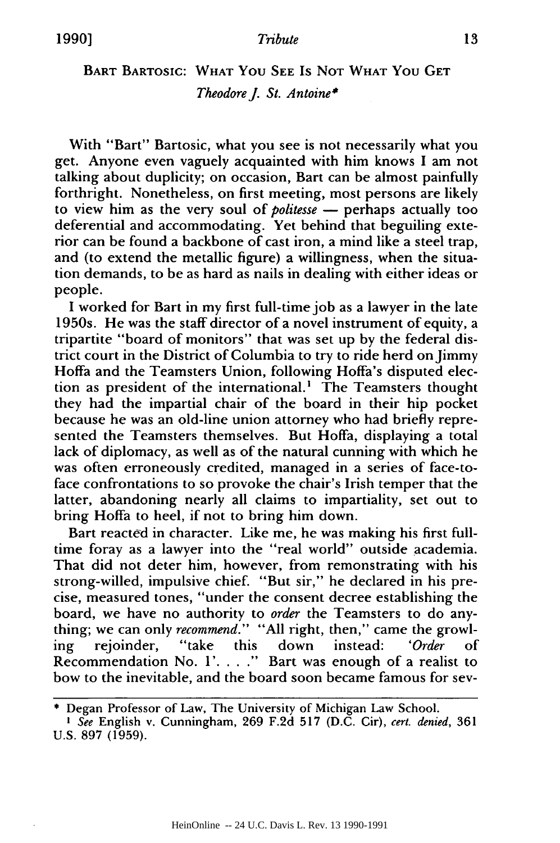### BART BARTOSIC: WHAT **YOU SEE** Is NOT WHAT You GET *TheodoreJ. St. Antoine\**

With "Bart" Bartosic, what you see is not necessarily what you get. Anyone even vaguely acquainted with him knows I am not talking about duplicity; on occasion, Bart can be almost painfully forthright. Nonetheless, on first meeting, most persons are likely to view him as the very soul of *politesse* **-** perhaps actually too deferential and accommodating. **Yet** behind that beguiling exterior can be found a backbone of cast iron, a mind like a steel trap, and (to extend the metallic figure) a willingness, when the situation demands, to be as hard as nails in dealing with either ideas or people.

**<sup>I</sup>**worked for Bart in my first full-time job as a lawyer in the late 1950s. He was the staff director of a novel instrument of equity, a tripartite "board of monitors" that was set up by the federal district court in the District of Columbia to try to ride herd on jimmy Hoffa and the Teamsters Union, following Hoffa's disputed election as president of the international.' The Teamsters thought they had the impartial chair of the board in their hip pocket because he was an old-line union attorney who had briefly represented the Teamsters themselves. But Hoffa, displaying a total lack of diplomacy, as well as of the natural cunning with which he was often erroneously credited, managed in a series of face-toface confrontations to so provoke the chair's Irish temper that the latter, abandoning nearly all claims to impartiality, set out to bring Hoffa to heel, if not to bring him down.

Bart reacted in character. Like me, he was making his first fulltime foray as a lawyer into the "real world" outside academia. That did not deter him, however, from remonstrating with his strong-willed, impulsive chief. "But sir," he declared in his precise, measured tones, "under the consent decree establishing the board, we have no authority to *order* the Teamsters to do anything; we can only *recommend."* "All right, then," came the growling rejoinder, "take this down instead: *'Order* of Recommendation No. **1'. . .** ." Bart was enough of a realist to bow to the inevitable, and the board soon became famous for sev-

<sup>\*</sup> Degan Professor of Law, The University of Michigan Law School.

*I See* English v. Cunningham, 269 F.2d 517 (D.C. Cir), *cert. denied,* 361 U.S. 897 (1959).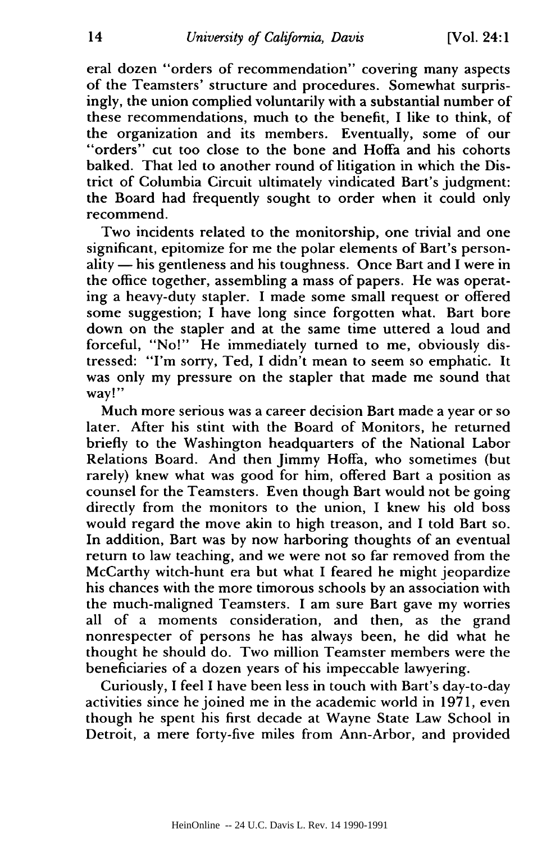eral dozen "orders of recommendation" covering many aspects of the Teamsters' structure and procedures. Somewhat surprisingly, the union complied voluntarily with a substantial number of these recommendations, much to the benefit, I like to think, of the organization and its members. Eventually, some of our "orders" cut too close to the bone and Hoffa and his cohorts balked. That led to another round of litigation in which the District of Columbia Circuit ultimately vindicated Bart's judgment: the Board had frequently sought to order when it could only recommend.

Two incidents related to the monitorship, one trivial and one significant, epitomize for me the polar elements of Bart's person $ality$ — his gentleness and his toughness. Once Bart and I were in the office together, assembling a mass of papers. He was operating a heavy-duty stapler. I made some small request or offered some suggestion; I have long since forgotten what. Bart bore down on the stapler and at the same time uttered a loud and forceful, "No!" He immediately turned to me, obviously distressed: "I'm sorry, Ted, I didn't mean to seem so emphatic. It was only my pressure on the stapler that made me sound that way!"

Much more serious was a career decision Bart made a year or so later. After his stint with the Board of Monitors, he returned briefly to the Washington headquarters of the National Labor Relations Board. And then Jimmy Hoffa, who sometimes (but rarely) knew what was good for him, offered Bart a position as counsel for the Teamsters. Even though Bart would not be going directly from the monitors to the union, I knew his old boss would regard the move akin to high treason, and I told Bart so. In addition, Bart was by now harboring thoughts of an eventual return to law teaching, and we were not so far removed from the McCarthy witch-hunt era but what I feared he might jeopardize his chances with the more timorous schools by an association with the much-maligned Teamsters. I am sure Bart gave my worries all of a moments consideration, and then, as the grand nonrespecter of persons he has always been, he did what he thought he should do. Two million Teamster members were the beneficiaries of a dozen years of his impeccable lawyering.

Curiously, I feel I have been less in touch with Bart's day-to-day activities since he joined me in the academic world in 1971, even though he spent his first decade at Wayne State Law School in Detroit, a mere forty-five miles from Ann-Arbor, and provided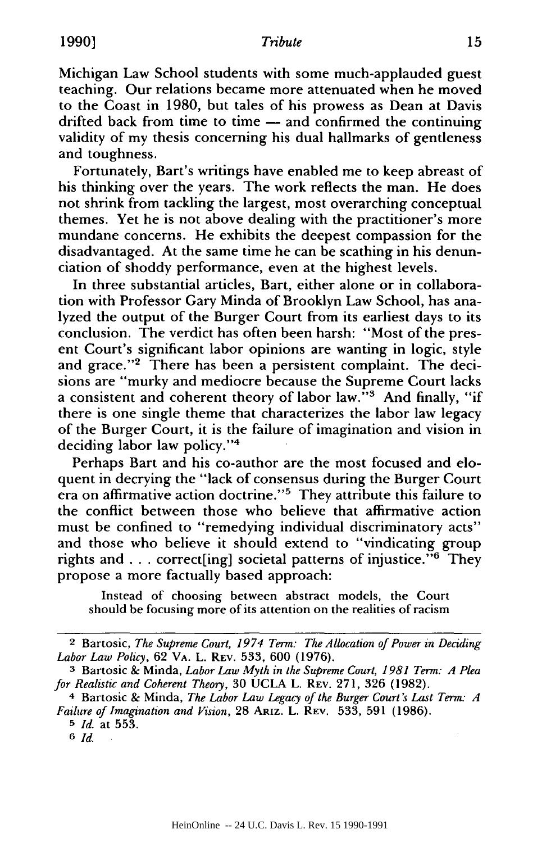#### **1990**] Tribute

Michigan Law School students with some much-applauded guest teaching. Our relations became more attenuated when he moved to the Coast in 1980, but tales of his prowess as Dean at Davis drifted back from time to time — and confirmed the continuing validity of my thesis concerning his dual hallmarks of gentleness and toughness.

Fortunately, Bart's writings have enabled me to keep abreast of his thinking over the years. The work reflects the man. He does not shrink from tackling the largest, most overarching conceptual themes. Yet he is not above dealing with the practitioner's more mundane concerns. He exhibits the deepest compassion for the disadvantaged. At the same time he can be scathing in his denunciation of shoddy performance, even at the highest levels.

In three substantial articles, Bart, either alone or in collaboration with Professor Gary Minda of Brooklyn Law School, has analyzed the output of the Burger Court from its earliest days to its conclusion. The verdict has often been harsh: "Most of the present Court's significant labor opinions are wanting in logic, style and grace."<sup>2</sup> There has been a persistent complaint. The decisions are "murky and mediocre because the Supreme Court lacks a consistent and coherent theory of labor law. $13$  And finally, "if there is one single theme that characterizes the labor law legacy of the Burger Court, it is the failure of imagination and vision in deciding labor law policy."4

Perhaps Bart and his co-author are the most focused and eloquent in decrying the "lack of consensus during the Burger Court era on affirmative action doctrine."5 They attribute this failure to the conflict between those who believe that affirmative action must be confined to "remedying individual discriminatory acts" and those who believe it should extend to "vindicating group rights and . . . correct [ing] societal patterns of injustice." $6$  They propose a more factually based approach:

Instead of choosing between abstract models, the Court should be focusing more of its attention on the realities of racism

<sup>&</sup>lt;sup>2</sup> Bartosic, *The Supreme Court, 1974 Term: The Allocation of Power in Deciding Labor Law Policy,* 62 VA. L. REV. 533, 600 (1976).

**<sup>3</sup>**Bartosic & Minda, *Labor Law Myth in the Supreme Court, 1981 Term: A Plea for Realistic and Coherent Theory,* 30 UCLA L. REV. 271, 326 (1982).

<sup>4</sup> Bartosic & Minda, *The Labor Law Legacy of the Burger Court's Last Term: A Failure of Imagination and Vision,* 28 **ARIZ.** L. REV. 533, 591 (1986).

**<sup>5</sup>***Id.* at 553.

**<sup>6</sup>** *Id.*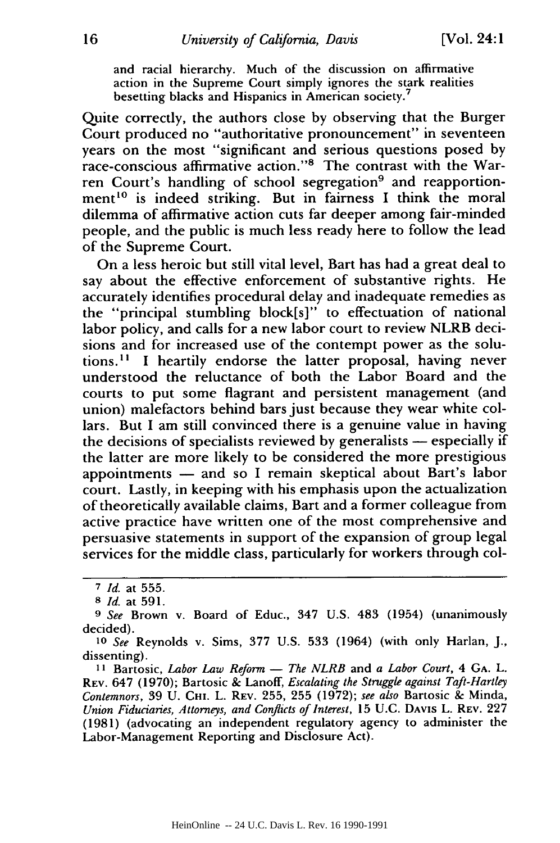and racial hierarchy. Much of the discussion on affirmative action in the Supreme Court simply ignores the stark realities besetting blacks and Hispanics in American society.<sup>7</sup>

Quite correctly, the authors close by observing that the Burger Court produced no "authoritative pronouncement" in seventeen years on the most "significant and serious questions posed by race-conscious affirmative action."<sup>8</sup> The contrast with the Warren Court's handling of school segregation<sup>9</sup> and reapportionment<sup>10</sup> is indeed striking. But in fairness I think the moral dilemma of affirmative action cuts far deeper among fair-minded people, and the public is much less ready here to follow the lead of the Supreme Court.

On a less heroic but still vital level, Bart has had a great deal to say about the effective enforcement of substantive rights. He accurately identifies procedural delay and inadequate remedies as the "principal stumbling block[s]" to effectuation of national labor policy, and calls for a new labor court to review NLRB decisions and for increased use of the contempt power as the solutions. **"** I heartily endorse the latter proposal, having never understood the reluctance of both the Labor Board and the courts to put some flagrant and persistent management (and union) malefactors behind bars just because they wear white collars. But I am still convinced there is a genuine value in having the decisions of specialists reviewed by generalists  $-$  especially if the latter are more likely to be considered the more prestigious appointments  $-$  and so I remain skeptical about Bart's labor court. Lastly, in keeping with his emphasis upon the actualization of theoretically available claims, Bart and a former colleague from active practice have written one of the most comprehensive and persuasive statements in support of the expansion of group legal services for the middle class, particularly for workers through col-

**<sup>7</sup>***Id.* at 555.

*<sup>8</sup> Id.* at 591.

*<sup>9</sup> See* Brown v. Board of Educ., 347 U.S. 483 (1954) (unanimously decided).

*<sup>10</sup>See* Reynolds v. Sims, 377 U.S. 533 (1964) (with only Harlan, J., dissenting).

**I I** Bartosic, *Labor Law Reform* **-** *The NLRB* and *a Labor Court,* 4 **GA.** L. REV. 647 (1970); Bartosic & Lanoff, *Escalating the Struggle against Taft-Hartley Contemnors,* 39 U. **CHi.** L. REV. 255, 255 (1972); *see also* Bartosic & Minda, *Union Fiduciaries, Attorneys, and Conflicts of Interest,* 15 U.C. DAVIS L. REV. 227 (1981) (advocating an independent regulatory agency to administer the Labor-Management Reporting and Disclosure Act).